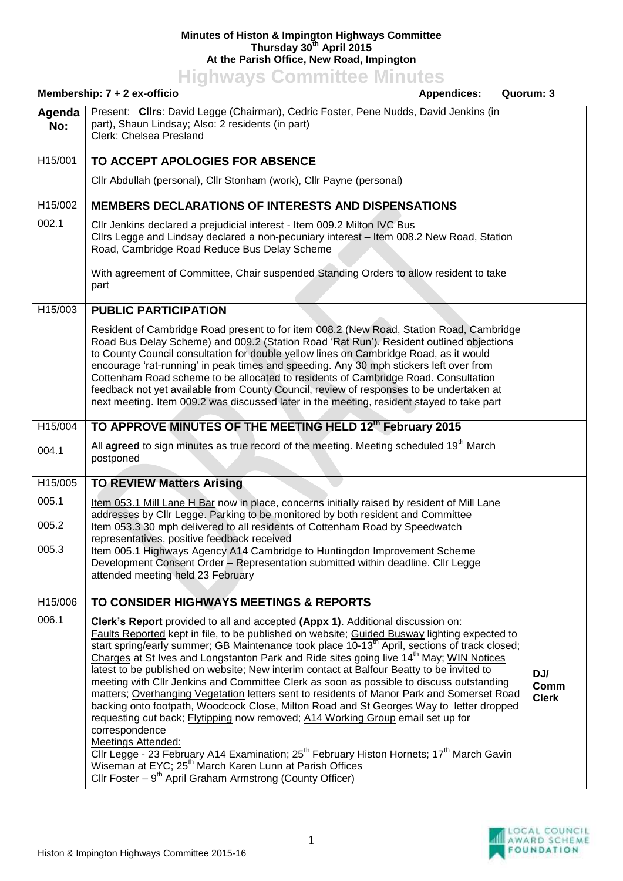## **Minutes of Histon & Impington Highways Committee Thursday 30th April 2015 At the Parish Office, New Road, Impington**

**Highways Committee Minutes**

|                         | Membership: $7 + 2$ ex-officio<br><b>Appendices:</b><br>Quorum: 3                                                                                                                                                                                                                                                                                                                                                                                                                                                                                                                                                                                                                                                                                                                                                                                                                                                                                                                                                                                                                                                                                                                                 |                             |
|-------------------------|---------------------------------------------------------------------------------------------------------------------------------------------------------------------------------------------------------------------------------------------------------------------------------------------------------------------------------------------------------------------------------------------------------------------------------------------------------------------------------------------------------------------------------------------------------------------------------------------------------------------------------------------------------------------------------------------------------------------------------------------------------------------------------------------------------------------------------------------------------------------------------------------------------------------------------------------------------------------------------------------------------------------------------------------------------------------------------------------------------------------------------------------------------------------------------------------------|-----------------------------|
| Agenda<br>No:           | Present: Clirs: David Legge (Chairman), Cedric Foster, Pene Nudds, David Jenkins (in<br>part), Shaun Lindsay; Also: 2 residents (in part)<br>Clerk: Chelsea Presland                                                                                                                                                                                                                                                                                                                                                                                                                                                                                                                                                                                                                                                                                                                                                                                                                                                                                                                                                                                                                              |                             |
| H15/001                 | TO ACCEPT APOLOGIES FOR ABSENCE                                                                                                                                                                                                                                                                                                                                                                                                                                                                                                                                                                                                                                                                                                                                                                                                                                                                                                                                                                                                                                                                                                                                                                   |                             |
|                         | Cllr Abdullah (personal), Cllr Stonham (work), Cllr Payne (personal)                                                                                                                                                                                                                                                                                                                                                                                                                                                                                                                                                                                                                                                                                                                                                                                                                                                                                                                                                                                                                                                                                                                              |                             |
| H <sub>15</sub> /002    | <b>MEMBERS DECLARATIONS OF INTERESTS AND DISPENSATIONS</b>                                                                                                                                                                                                                                                                                                                                                                                                                                                                                                                                                                                                                                                                                                                                                                                                                                                                                                                                                                                                                                                                                                                                        |                             |
| 002.1                   | CIIr Jenkins declared a prejudicial interest - Item 009.2 Milton IVC Bus<br>Cllrs Legge and Lindsay declared a non-pecuniary interest - Item 008.2 New Road, Station<br>Road, Cambridge Road Reduce Bus Delay Scheme                                                                                                                                                                                                                                                                                                                                                                                                                                                                                                                                                                                                                                                                                                                                                                                                                                                                                                                                                                              |                             |
|                         | With agreement of Committee, Chair suspended Standing Orders to allow resident to take<br>part                                                                                                                                                                                                                                                                                                                                                                                                                                                                                                                                                                                                                                                                                                                                                                                                                                                                                                                                                                                                                                                                                                    |                             |
| H15/003                 | <b>PUBLIC PARTICIPATION</b>                                                                                                                                                                                                                                                                                                                                                                                                                                                                                                                                                                                                                                                                                                                                                                                                                                                                                                                                                                                                                                                                                                                                                                       |                             |
|                         | Resident of Cambridge Road present to for item 008.2 (New Road, Station Road, Cambridge<br>Road Bus Delay Scheme) and 009.2 (Station Road 'Rat Run'). Resident outlined objections<br>to County Council consultation for double yellow lines on Cambridge Road, as it would<br>encourage 'rat-running' in peak times and speeding. Any 30 mph stickers left over from<br>Cottenham Road scheme to be allocated to residents of Cambridge Road. Consultation<br>feedback not yet available from County Council, review of responses to be undertaken at<br>next meeting. Item 009.2 was discussed later in the meeting, resident stayed to take part                                                                                                                                                                                                                                                                                                                                                                                                                                                                                                                                               |                             |
| H15/004                 | TO APPROVE MINUTES OF THE MEETING HELD 12th February 2015                                                                                                                                                                                                                                                                                                                                                                                                                                                                                                                                                                                                                                                                                                                                                                                                                                                                                                                                                                                                                                                                                                                                         |                             |
| 004.1                   | All agreed to sign minutes as true record of the meeting. Meeting scheduled 19 <sup>th</sup> March<br>postponed                                                                                                                                                                                                                                                                                                                                                                                                                                                                                                                                                                                                                                                                                                                                                                                                                                                                                                                                                                                                                                                                                   |                             |
| H15/005                 | <b>TO REVIEW Matters Arising</b>                                                                                                                                                                                                                                                                                                                                                                                                                                                                                                                                                                                                                                                                                                                                                                                                                                                                                                                                                                                                                                                                                                                                                                  |                             |
| 005.1<br>005.2<br>005.3 | Item 053.1 Mill Lane H Bar now in place, concerns initially raised by resident of Mill Lane<br>addresses by Cllr Legge. Parking to be monitored by both resident and Committee<br>Item 053.3 30 mph delivered to all residents of Cottenham Road by Speedwatch<br>representatives, positive feedback received<br>Item 005.1 Highways Agency A14 Cambridge to Huntingdon Improvement Scheme<br>Development Consent Order - Representation submitted within deadline. Cllr Legge<br>attended meeting held 23 February                                                                                                                                                                                                                                                                                                                                                                                                                                                                                                                                                                                                                                                                               |                             |
| H15/006                 | TO CONSIDER HIGHWAYS MEETINGS & REPORTS                                                                                                                                                                                                                                                                                                                                                                                                                                                                                                                                                                                                                                                                                                                                                                                                                                                                                                                                                                                                                                                                                                                                                           |                             |
| 006.1                   | <b>Clerk's Report</b> provided to all and accepted (Appx 1). Additional discussion on:<br>Faults Reported kept in file, to be published on website; Guided Busway lighting expected to<br>start spring/early summer; GB Maintenance took place 10-13 <sup>th</sup> April, sections of track closed;<br>Charges at St Ives and Longstanton Park and Ride sites going live 14 <sup>th</sup> May; WIN Notices<br>latest to be published on website; New interim contact at Balfour Beatty to be invited to<br>meeting with CIIr Jenkins and Committee Clerk as soon as possible to discuss outstanding<br>matters; Overhanging Vegetation letters sent to residents of Manor Park and Somerset Road<br>backing onto footpath, Woodcock Close, Milton Road and St Georges Way to letter dropped<br>requesting cut back; Flytipping now removed; A14 Working Group email set up for<br>correspondence<br><b>Meetings Attended:</b><br>Cllr Legge - 23 February A14 Examination; 25 <sup>th</sup> February Histon Hornets; 17 <sup>th</sup> March Gavin<br>Wiseman at EYC; 25 <sup>th</sup> March Karen Lunn at Parish Offices<br>Cllr Foster - 9 <sup>th</sup> April Graham Armstrong (County Officer) | DJ/<br>Comm<br><b>Clerk</b> |

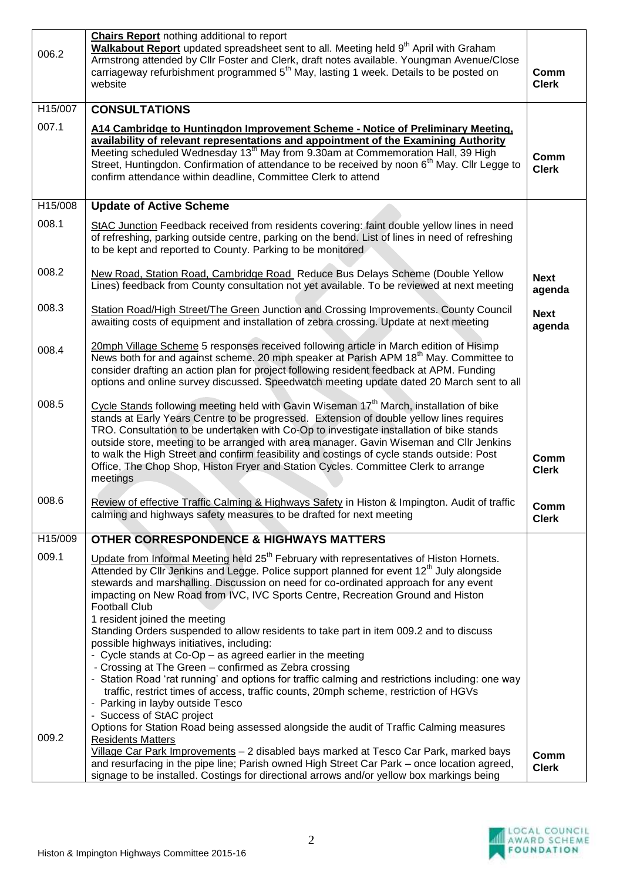|         | <b>Chairs Report nothing additional to report</b>                                                                                                                                             |                       |
|---------|-----------------------------------------------------------------------------------------------------------------------------------------------------------------------------------------------|-----------------------|
| 006.2   | Walkabout Report updated spreadsheet sent to all. Meeting held 9 <sup>th</sup> April with Graham<br>Armstrong attended by Cllr Foster and Clerk, draft notes available. Youngman Avenue/Close |                       |
|         | carriageway refurbishment programmed 5 <sup>th</sup> May, lasting 1 week. Details to be posted on                                                                                             | Comm                  |
|         | website                                                                                                                                                                                       | <b>Clerk</b>          |
| H15/007 | <b>CONSULTATIONS</b>                                                                                                                                                                          |                       |
| 007.1   | A14 Cambridge to Huntingdon Improvement Scheme - Notice of Preliminary Meeting,                                                                                                               |                       |
|         | availability of relevant representations and appointment of the Examining Authority<br>Meeting scheduled Wednesday 13 <sup>th</sup> May from 9.30am at Commemoration Hall, 39 High            |                       |
|         | Street, Huntingdon. Confirmation of attendance to be received by noon 6 <sup>th</sup> May. Cllr Legge to                                                                                      | Comm<br><b>Clerk</b>  |
|         | confirm attendance within deadline, Committee Clerk to attend                                                                                                                                 |                       |
| H15/008 | <b>Update of Active Scheme</b>                                                                                                                                                                |                       |
| 008.1   | StAC Junction Feedback received from residents covering: faint double yellow lines in need                                                                                                    |                       |
|         | of refreshing, parking outside centre, parking on the bend. List of lines in need of refreshing                                                                                               |                       |
|         | to be kept and reported to County. Parking to be monitored                                                                                                                                    |                       |
| 008.2   | New Road, Station Road, Cambridge Road Reduce Bus Delays Scheme (Double Yellow                                                                                                                |                       |
|         | Lines) feedback from County consultation not yet available. To be reviewed at next meeting                                                                                                    | <b>Next</b><br>agenda |
| 008.3   | Station Road/High Street/The Green Junction and Crossing Improvements. County Council                                                                                                         | <b>Next</b>           |
|         | awaiting costs of equipment and installation of zebra crossing. Update at next meeting                                                                                                        | agenda                |
| 008.4   | 20mph Village Scheme 5 responses received following article in March edition of Hisimp                                                                                                        |                       |
|         | News both for and against scheme. 20 mph speaker at Parish APM 18 <sup>th</sup> May. Committee to<br>consider drafting an action plan for project following resident feedback at APM. Funding |                       |
|         | options and online survey discussed. Speedwatch meeting update dated 20 March sent to all                                                                                                     |                       |
| 008.5   | Cycle Stands following meeting held with Gavin Wiseman 17 <sup>th</sup> March, installation of bike                                                                                           |                       |
|         | stands at Early Years Centre to be progressed. Extension of double yellow lines requires                                                                                                      |                       |
|         | TRO. Consultation to be undertaken with Co-Op to investigate installation of bike stands<br>outside store, meeting to be arranged with area manager. Gavin Wiseman and Cllr Jenkins           |                       |
|         | to walk the High Street and confirm feasibility and costings of cycle stands outside: Post                                                                                                    | Comm                  |
|         | Office, The Chop Shop, Histon Fryer and Station Cycles. Committee Clerk to arrange                                                                                                            | <b>Clerk</b>          |
|         | meetings                                                                                                                                                                                      |                       |
| 008.6   | Review of effective Traffic Calming & Highways Safety in Histon & Impington. Audit of traffic                                                                                                 | Comm                  |
|         | calming and highways safety measures to be drafted for next meeting                                                                                                                           | <b>Clerk</b>          |
| H15/009 | <b>OTHER CORRESPONDENCE &amp; HIGHWAYS MATTERS</b>                                                                                                                                            |                       |
| 009.1   | Update from Informal Meeting held 25 <sup>th</sup> February with representatives of Histon Hornets.                                                                                           |                       |
|         | Attended by Cllr Jenkins and Legge. Police support planned for event 12 <sup>th</sup> July alongside<br>stewards and marshalling. Discussion on need for co-ordinated approach for any event  |                       |
|         | impacting on New Road from IVC, IVC Sports Centre, Recreation Ground and Histon                                                                                                               |                       |
|         | <b>Football Club</b>                                                                                                                                                                          |                       |
|         | 1 resident joined the meeting<br>Standing Orders suspended to allow residents to take part in item 009.2 and to discuss                                                                       |                       |
|         | possible highways initiatives, including:                                                                                                                                                     |                       |
|         | - Cycle stands at Co-Op - as agreed earlier in the meeting                                                                                                                                    |                       |
|         | - Crossing at The Green - confirmed as Zebra crossing<br>- Station Road 'rat running' and options for traffic calming and restrictions including: one way                                     |                       |
|         | traffic, restrict times of access, traffic counts, 20mph scheme, restriction of HGVs                                                                                                          |                       |
|         | - Parking in layby outside Tesco<br>- Success of StAC project                                                                                                                                 |                       |
|         | Options for Station Road being assessed alongside the audit of Traffic Calming measures                                                                                                       |                       |
| 009.2   | <b>Residents Matters</b>                                                                                                                                                                      |                       |
|         | Village Car Park Improvements - 2 disabled bays marked at Tesco Car Park, marked bays<br>and resurfacing in the pipe line; Parish owned High Street Car Park - once location agreed,          | Comm<br><b>Clerk</b>  |
|         | signage to be installed. Costings for directional arrows and/or yellow box markings being                                                                                                     |                       |